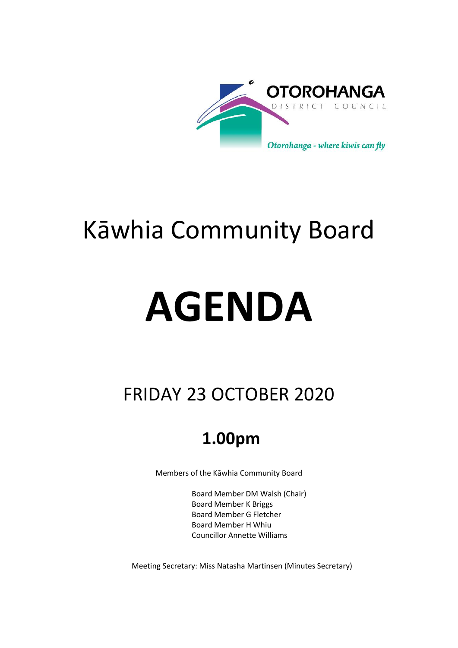

# Kāwhia Community Board

# **AGENDA**

## FRIDAY 23 OCTOBER 2020

## **1.00pm**

Members of the Kāwhia Community Board

Board Member DM Walsh (Chair) Board Member K Briggs Board Member G Fletcher Board Member H Whiu Councillor Annette Williams

Meeting Secretary: Miss Natasha Martinsen (Minutes Secretary)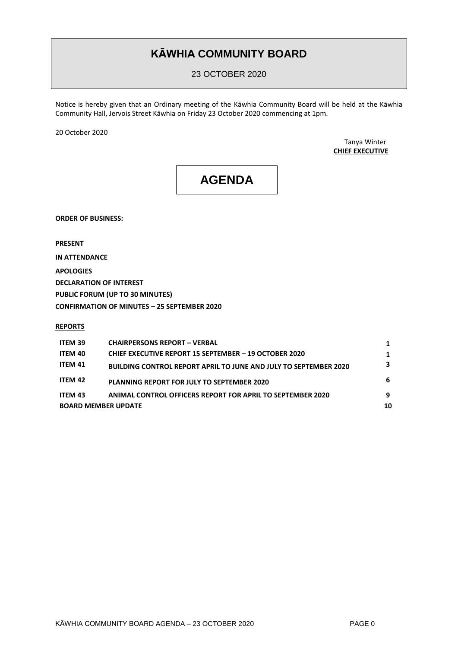### **KĀWHIA COMMUNITY BOARD**

23 OCTOBER 2020

Notice is hereby given that an Ordinary meeting of the Kāwhia Community Board will be held at the Kāwhia Community Hall, Jervois Street Kāwhia on Friday 23 October 2020 commencing at 1pm.

20 October 2020

Tanya Winter **CHIEF EXECUTIVE**

## **AGENDA**

**ORDER OF BUSINESS:**

**PRESENT**

**IN ATTENDANCE APOLOGIES DECLARATION OF INTEREST PUBLIC FORUM (UP TO 30 MINUTES) CONFIRMATION OF MINUTES – 25 SEPTEMBER 2020** 

#### **REPORTS**

| <b>ITEM 39</b>             | <b>CHAIRPERSONS REPORT - VERBAL</b>                                     |   |
|----------------------------|-------------------------------------------------------------------------|---|
| <b>ITEM 40</b>             | <b>CHIEF EXECUTIVE REPORT 15 SEPTEMBER - 19 OCTOBER 2020</b>            |   |
| ITEM 41                    | <b>BUILDING CONTROL REPORT APRIL TO JUNE AND JULY TO SEPTEMBER 2020</b> | 3 |
| ITEM 42                    | <b>PLANNING REPORT FOR JULY TO SEPTEMBER 2020</b>                       | 6 |
| <b>ITEM 43</b>             | <b>ANIMAL CONTROL OFFICERS REPORT FOR APRIL TO SEPTEMBER 2020</b>       | 9 |
| <b>BOARD MEMBER UPDATE</b> |                                                                         |   |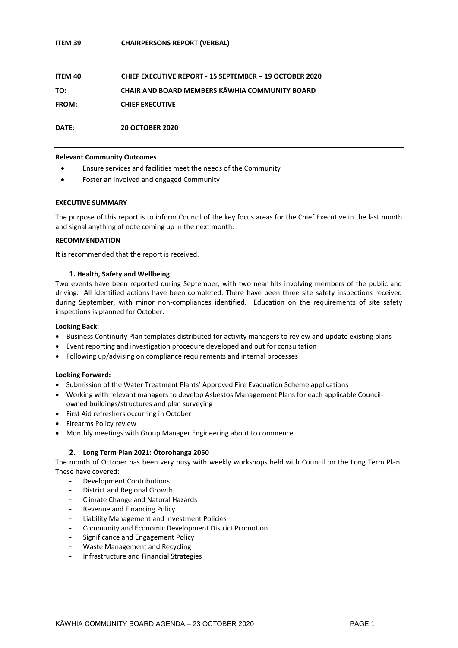#### **ITEM 39 CHAIRPERSONS REPORT (VERBAL)**

| ITEM 40      | CHIEF EXECUTIVE REPORT - 15 SEPTEMBER - 19 OCTOBER 2020 |
|--------------|---------------------------------------------------------|
| TO:          | CHAIR AND BOARD MEMBERS KĀWHIA COMMUNITY BOARD          |
| <b>FROM:</b> | <b>CHIEF EXECUTIVE</b>                                  |
|              |                                                         |

**DATE: 20 OCTOBER 2020**

#### **Relevant Community Outcomes**

- Ensure services and facilities meet the needs of the Community
- Foster an involved and engaged Community

#### **EXECUTIVE SUMMARY**

The purpose of this report is to inform Council of the key focus areas for the Chief Executive in the last month and signal anything of note coming up in the next month.

#### **RECOMMENDATION**

It is recommended that the report is received.

#### **1. Health, Safety and Wellbeing**

Two events have been reported during September, with two near hits involving members of the public and driving. All identified actions have been completed. There have been three site safety inspections received during September, with minor non-compliances identified. Education on the requirements of site safety inspections is planned for October.

#### **Looking Back:**

- Business Continuity Plan templates distributed for activity managers to review and update existing plans
- Event reporting and investigation procedure developed and out for consultation
- Following up/advising on compliance requirements and internal processes

#### **Looking Forward:**

- Submission of the Water Treatment Plants' Approved Fire Evacuation Scheme applications
- Working with relevant managers to develop Asbestos Management Plans for each applicable Councilowned buildings/structures and plan surveying
- First Aid refreshers occurring in October
- **•** Firearms Policy review
- Monthly meetings with Group Manager Engineering about to commence

#### **2. Long Term Plan 2021: Ōtorohanga 2050**

The month of October has been very busy with weekly workshops held with Council on the Long Term Plan. These have covered:

- Development Contributions
- District and Regional Growth
- Climate Change and Natural Hazards
- Revenue and Financing Policy
- Liability Management and Investment Policies
- Community and Economic Development District Promotion
- Significance and Engagement Policy
- Waste Management and Recycling
- Infrastructure and Financial Strategies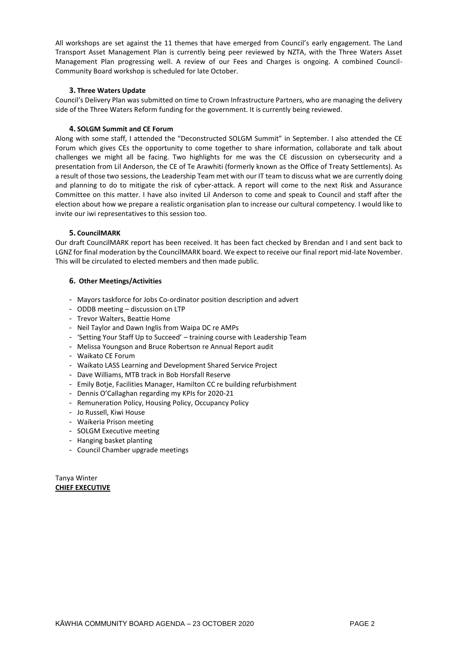All workshops are set against the 11 themes that have emerged from Council's early engagement. The Land Transport Asset Management Plan is currently being peer reviewed by NZTA, with the Three Waters Asset Management Plan progressing well. A review of our Fees and Charges is ongoing. A combined Council-Community Board workshop is scheduled for late October.

#### **3. Three Waters Update**

Council's Delivery Plan was submitted on time to Crown Infrastructure Partners, who are managing the delivery side of the Three Waters Reform funding for the government. It is currently being reviewed.

#### **4. SOLGM Summit and CE Forum**

Along with some staff, I attended the "Deconstructed SOLGM Summit" in September. I also attended the CE Forum which gives CEs the opportunity to come together to share information, collaborate and talk about challenges we might all be facing. Two highlights for me was the CE discussion on cybersecurity and a presentation from Lil Anderson, the CE of Te Arawhiti (formerly known as the Office of Treaty Settlements). As a result of those two sessions, the Leadership Team met with our IT team to discuss what we are currently doing and planning to do to mitigate the risk of cyber-attack. A report will come to the next Risk and Assurance Committee on this matter. I have also invited Lil Anderson to come and speak to Council and staff after the election about how we prepare a realistic organisation plan to increase our cultural competency. I would like to invite our iwi representatives to this session too.

#### **5. CouncilMARK**

Our draft CouncilMARK report has been received. It has been fact checked by Brendan and I and sent back to LGNZ for final moderation by the CouncilMARK board. We expect to receive our final report mid-late November. This will be circulated to elected members and then made public.

#### **6. Other Meetings/Activities**

- Mayors taskforce for Jobs Co-ordinator position description and advert
- ODDB meeting discussion on LTP
- Trevor Walters, Beattie Home
- Neil Taylor and Dawn Inglis from Waipa DC re AMPs
- 'Setting Your Staff Up to Succeed' training course with Leadership Team
- Melissa Youngson and Bruce Robertson re Annual Report audit
- Waikato CE Forum
- Waikato LASS Learning and Development Shared Service Project
- Dave Williams, MTB track in Bob Horsfall Reserve
- Emily Botie, Facilities Manager, Hamilton CC re building refurbishment
- Dennis O'Callaghan regarding my KPIs for 2020-21
- Remuneration Policy, Housing Policy, Occupancy Policy
- Jo Russell, Kiwi House
- Waikeria Prison meeting
- SOLGM Executive meeting
- Hanging basket planting
- Council Chamber upgrade meetings

Tanya Winter **CHIEF EXECUTIVE**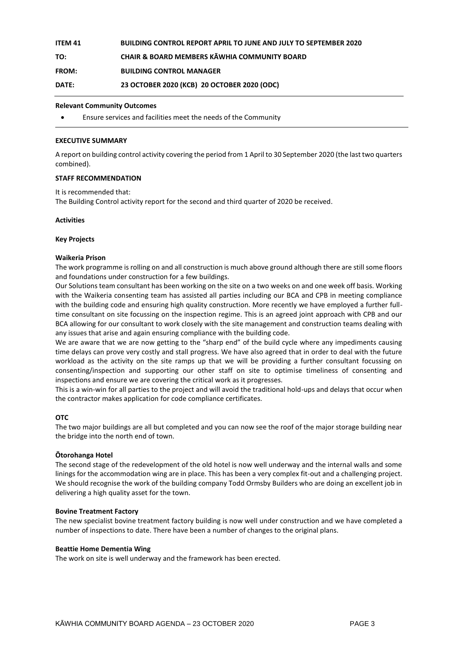| <b>ITEM 41</b> | <b>BUILDING CONTROL REPORT APRIL TO JUNE AND JULY TO SEPTEMBER 2020</b> |
|----------------|-------------------------------------------------------------------------|
| TO:            | <b>CHAIR &amp; BOARD MEMBERS KĀWHIA COMMUNITY BOARD</b>                 |
| <b>FROM:</b>   | <b>BUILDING CONTROL MANAGER</b>                                         |
| DATE:          | 23 OCTOBER 2020 (KCB) 20 OCTOBER 2020 (ODC)                             |

#### **Relevant Community Outcomes**

Ensure services and facilities meet the needs of the Community

#### **EXECUTIVE SUMMARY**

A report on building control activity covering the period from 1 April to 30 September 2020 (the last two quarters combined).

#### **STAFF RECOMMENDATION**

It is recommended that:

The Building Control activity report for the second and third quarter of 2020 be received.

#### **Activities**

#### **Key Projects**

#### **Waikeria Prison**

The work programme is rolling on and all construction is much above ground although there are still some floors and foundations under construction for a few buildings.

Our Solutions team consultant has been working on the site on a two weeks on and one week off basis. Working with the Waikeria consenting team has assisted all parties including our BCA and CPB in meeting compliance with the building code and ensuring high quality construction. More recently we have employed a further fulltime consultant on site focussing on the inspection regime. This is an agreed joint approach with CPB and our BCA allowing for our consultant to work closely with the site management and construction teams dealing with any issues that arise and again ensuring compliance with the building code.

We are aware that we are now getting to the "sharp end" of the build cycle where any impediments causing time delays can prove very costly and stall progress. We have also agreed that in order to deal with the future workload as the activity on the site ramps up that we will be providing a further consultant focussing on consenting/inspection and supporting our other staff on site to optimise timeliness of consenting and inspections and ensure we are covering the critical work as it progresses.

This is a win-win for all parties to the project and will avoid the traditional hold-ups and delays that occur when the contractor makes application for code compliance certificates.

#### **OTC**

The two major buildings are all but completed and you can now see the roof of the major storage building near the bridge into the north end of town.

#### **Ōtorohanga Hotel**

The second stage of the redevelopment of the old hotel is now well underway and the internal walls and some linings for the accommodation wing are in place. This has been a very complex fit-out and a challenging project. We should recognise the work of the building company Todd Ormsby Builders who are doing an excellent job in delivering a high quality asset for the town.

#### **Bovine Treatment Factory**

The new specialist bovine treatment factory building is now well under construction and we have completed a number of inspections to date. There have been a number of changes to the original plans.

#### **Beattie Home Dementia Wing**

The work on site is well underway and the framework has been erected.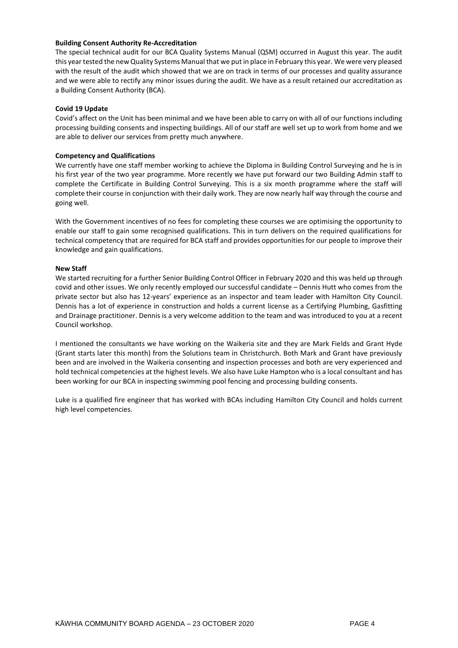#### **Building Consent Authority Re-Accreditation**

The special technical audit for our BCA Quality Systems Manual (QSM) occurred in August this year. The audit this year tested the new Quality Systems Manual that we put in place in February this year. We were very pleased with the result of the audit which showed that we are on track in terms of our processes and quality assurance and we were able to rectify any minor issues during the audit. We have as a result retained our accreditation as a Building Consent Authority (BCA).

#### **Covid 19 Update**

Covid's affect on the Unit has been minimal and we have been able to carry on with all of our functions including processing building consents and inspecting buildings. All of our staff are well set up to work from home and we are able to deliver our services from pretty much anywhere.

#### **Competency and Qualifications**

We currently have one staff member working to achieve the Diploma in Building Control Surveying and he is in his first year of the two year programme. More recently we have put forward our two Building Admin staff to complete the Certificate in Building Control Surveying. This is a six month programme where the staff will complete their course in conjunction with their daily work. They are now nearly half way through the course and going well.

With the Government incentives of no fees for completing these courses we are optimising the opportunity to enable our staff to gain some recognised qualifications. This in turn delivers on the required qualifications for technical competency that are required for BCA staff and provides opportunities for our people to improve their knowledge and gain qualifications.

#### **New Staff**

We started recruiting for a further Senior Building Control Officer in February 2020 and this was held up through covid and other issues. We only recently employed our successful candidate – Dennis Hutt who comes from the private sector but also has 12-years' experience as an inspector and team leader with Hamilton City Council. Dennis has a lot of experience in construction and holds a current license as a Certifying Plumbing, Gasfitting and Drainage practitioner. Dennis is a very welcome addition to the team and was introduced to you at a recent Council workshop.

I mentioned the consultants we have working on the Waikeria site and they are Mark Fields and Grant Hyde (Grant starts later this month) from the Solutions team in Christchurch. Both Mark and Grant have previously been and are involved in the Waikeria consenting and inspection processes and both are very experienced and hold technical competencies at the highest levels. We also have Luke Hampton who is a local consultant and has been working for our BCA in inspecting swimming pool fencing and processing building consents.

Luke is a qualified fire engineer that has worked with BCAs including Hamilton City Council and holds current high level competencies.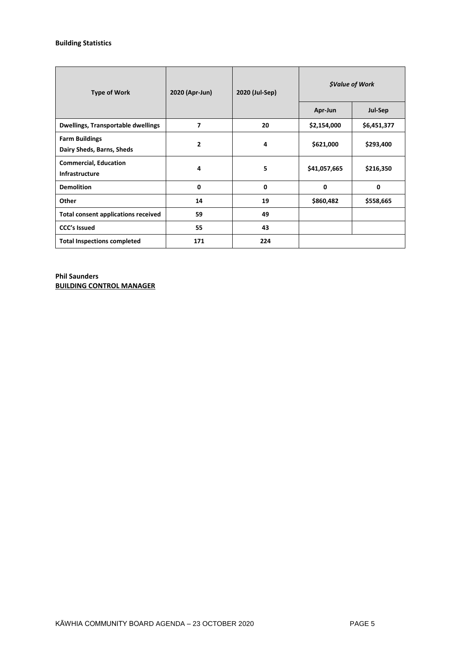#### **Building Statistics**

| <b>Type of Work</b>                                   | 2020 (Apr-Jun) | 2020 (Jul-Sep) | <i><b>\$Value of Work</b></i> |             |  |
|-------------------------------------------------------|----------------|----------------|-------------------------------|-------------|--|
|                                                       |                |                | Apr-Jun                       | Jul-Sep     |  |
| <b>Dwellings, Transportable dwellings</b>             | 7              | 20             | \$2,154,000                   | \$6,451,377 |  |
| <b>Farm Buildings</b><br>Dairy Sheds, Barns, Sheds    | 2              | 4              | \$621,000                     | \$293,400   |  |
| <b>Commercial, Education</b><br><b>Infrastructure</b> | 4              | 5              | \$41,057,665                  | \$216,350   |  |
| <b>Demolition</b>                                     | 0              | $\mathbf{0}$   | $\mathbf{0}$                  | 0           |  |
| Other                                                 | 14             | 19             | \$860,482                     | \$558,665   |  |
| <b>Total consent applications received</b>            | 59             | 49             |                               |             |  |
| <b>CCC's Issued</b>                                   | 55             | 43             |                               |             |  |
| <b>Total Inspections completed</b>                    | 171            | 224            |                               |             |  |

**Phil Saunders BUILDING CONTROL MANAGER**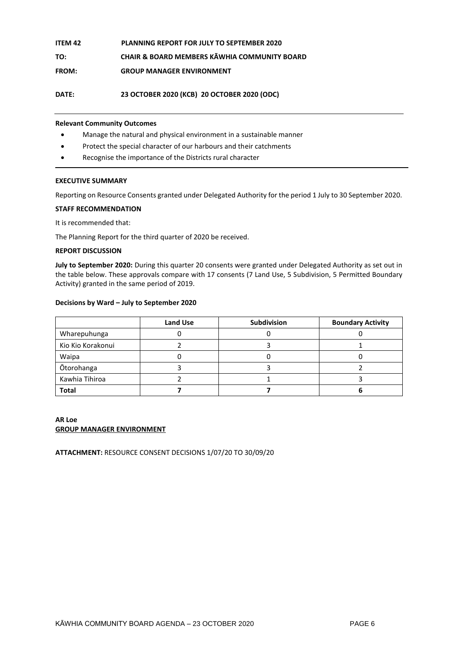| ITEM 42      | <b>PLANNING REPORT FOR JULY TO SEPTEMBER 2020</b>       |
|--------------|---------------------------------------------------------|
| TO:          | <b>CHAIR &amp; BOARD MEMBERS KAWHIA COMMUNITY BOARD</b> |
| <b>FROM:</b> | <b>GROUP MANAGER ENVIRONMENT</b>                        |

**DATE: 23 OCTOBER 2020 (KCB) 20 OCTOBER 2020 (ODC)**

#### **Relevant Community Outcomes**

- Manage the natural and physical environment in a sustainable manner
- Protect the special character of our harbours and their catchments
- Recognise the importance of the Districts rural character

#### **EXECUTIVE SUMMARY**

Reporting on Resource Consents granted under Delegated Authority for the period 1 July to 30 September 2020.

#### **STAFF RECOMMENDATION**

It is recommended that:

The Planning Report for the third quarter of 2020 be received.

#### **REPORT DISCUSSION**

**July to September 2020:** During this quarter 20 consents were granted under Delegated Authority as set out in the table below. These approvals compare with 17 consents (7 Land Use, 5 Subdivision, 5 Permitted Boundary Activity) granted in the same period of 2019.

#### **Decisions by Ward – July to September 2020**

|                   | <b>Land Use</b> | <b>Subdivision</b> | <b>Boundary Activity</b> |
|-------------------|-----------------|--------------------|--------------------------|
| Wharepuhunga      |                 |                    |                          |
| Kio Kio Korakonui |                 |                    |                          |
| Waipa             |                 |                    |                          |
| Ōtorohanga        |                 |                    |                          |
| Kawhia Tihiroa    |                 |                    |                          |
| <b>Total</b>      |                 |                    |                          |

#### **AR Loe GROUP MANAGER ENVIRONMENT**

**ATTACHMENT:** RESOURCE CONSENT DECISIONS 1/07/20 TO 30/09/20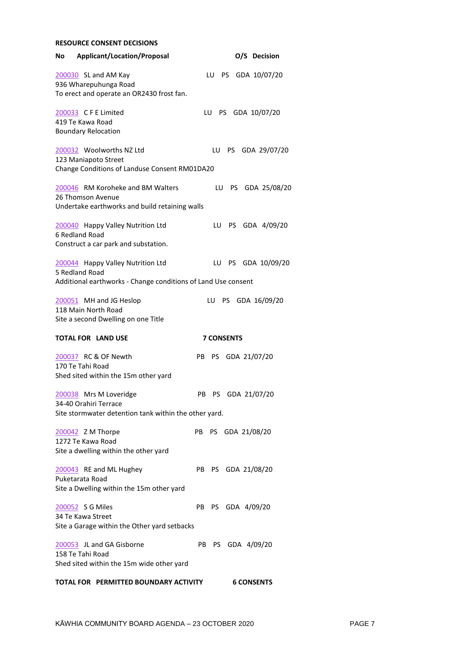| <b>RESOURCE CONSENT DECISIONS</b>                                                                                    |     |    |                   |                    |                    |
|----------------------------------------------------------------------------------------------------------------------|-----|----|-------------------|--------------------|--------------------|
| <b>Applicant/Location/Proposal</b><br>No                                                                             |     |    |                   | O/S Decision       |                    |
| 200030 SL and AM Kay<br>936 Wharepuhunga Road<br>To erect and operate an OR2430 frost fan.                           |     |    |                   |                    | LU PS GDA 10/07/20 |
| 200033 CFE Limited<br>419 Te Kawa Road<br><b>Boundary Relocation</b>                                                 |     | LU | PS.               | GDA 10/07/20       |                    |
| 200032 Woolworths NZ Ltd<br>123 Maniapoto Street<br>Change Conditions of Landuse Consent RM01DA20                    |     | LU | PS -              |                    | GDA 29/07/20       |
| 200046 RM Koroheke and BM Walters<br>26 Thomson Avenue<br>Undertake earthworks and build retaining walls             |     | LU | PS.               |                    | GDA 25/08/20       |
| 200040 Happy Valley Nutrition Ltd<br>6 Redland Road<br>Construct a car park and substation.                          |     | LU |                   |                    | PS GDA 4/09/20     |
| 200044 Happy Valley Nutrition Ltd<br>5 Redland Road<br>Additional earthworks - Change conditions of Land Use consent |     | LU |                   |                    | PS GDA 10/09/20    |
| 200051 MH and JG Heslop<br>118 Main North Road<br>Site a second Dwelling on one Title                                |     |    |                   |                    | LU PS GDA 16/09/20 |
| <b>TOTAL FOR LAND USE</b>                                                                                            |     |    | <b>7 CONSENTS</b> |                    |                    |
| 200037 RC & OF Newth<br>170 Te Tahi Road<br>Shed sited within the 15m other yard                                     | PB. | PS |                   | GDA 21/07/20       |                    |
| 200038 Mrs M Loveridge<br>34-40 Orahiri Terrace                                                                      |     |    |                   | PB PS GDA 21/07/20 |                    |
| Site stormwater detention tank within the other yard.                                                                |     |    |                   |                    |                    |
| 200042 Z M Thorpe<br>1272 Te Kawa Road<br>Site a dwelling within the other yard                                      | PB  |    |                   | PS GDA 21/08/20    |                    |
| 200043 RE and ML Hughey<br>Puketarata Road<br>Site a Dwelling within the 15m other yard                              | PB  |    |                   | PS GDA 21/08/20    |                    |
| 200052 S G Miles<br>34 Te Kawa Street<br>Site a Garage within the Other yard setbacks                                |     |    |                   | PB PS GDA 4/09/20  |                    |
| 200053 JL and GA Gisborne<br>158 Te Tahi Road<br>Shed sited within the 15m wide other yard                           |     |    |                   | PB PS GDA 4/09/20  |                    |
| TOTAL FOR PERMITTED BOUNDARY ACTIVITY                                                                                |     |    |                   | <b>6 CONSENTS</b>  |                    |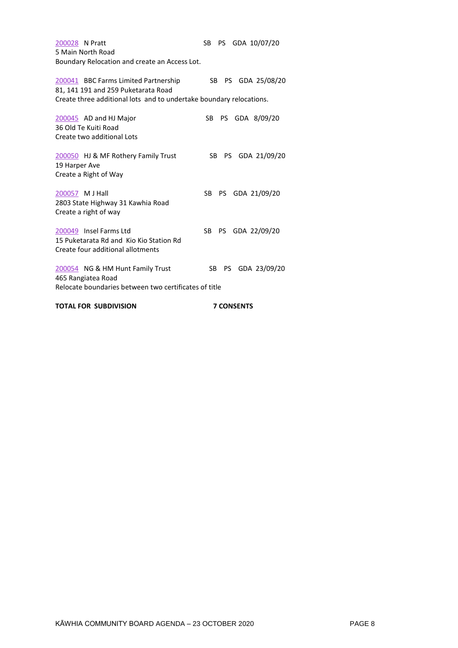| 200028 N Pratt<br>5 Main North Road<br>Boundary Relocation and create an Access Lot.                                                               | SB PS GDA 10/07/20      |
|----------------------------------------------------------------------------------------------------------------------------------------------------|-------------------------|
| 200041 BBC Farms Limited Partnership<br>81, 141 191 and 259 Puketarata Road<br>Create three additional lots and to undertake boundary relocations. | PS GDA 25/08/20<br>SB - |
| 200045 AD and HJ Major<br>36 Old Te Kuiti Road<br>Create two additional Lots                                                                       | PS GDA 8/09/20<br>SB -  |
| 200050 HJ & MF Rothery Family Trust<br>19 Harper Ave<br>Create a Right of Way                                                                      | PS GDA 21/09/20<br>SB.  |
| 200057 M J Hall<br>2803 State Highway 31 Kawhia Road<br>Create a right of way                                                                      | SB.<br>PS GDA 21/09/20  |
| 200049 Insel Farms Ltd<br>15 Puketarata Rd and Kio Kio Station Rd<br>Create four additional allotments                                             | SB<br>PS GDA 22/09/20   |
| 200054 NG & HM Hunt Family Trust<br>465 Rangiatea Road<br>Relocate boundaries between two certificates of title                                    | SB PS GDA 23/09/20      |
| <b>TOTAL FOR SUBDIVISION</b>                                                                                                                       | <b>7 CONSENTS</b>       |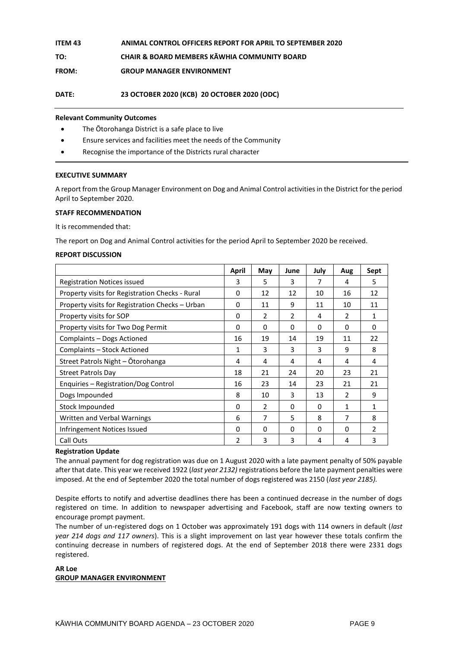| ITEM 43 | <b>ANIMAL CONTROL OFFICERS REPORT FOR APRIL TO SEPTEMBER 2020</b> |
|---------|-------------------------------------------------------------------|
| TO:     | <b>CHAIR &amp; BOARD MEMBERS KAWHIA COMMUNITY BOARD</b>           |

**FROM: GROUP MANAGER ENVIRONMENT** 

**DATE: 23 OCTOBER 2020 (KCB) 20 OCTOBER 2020 (ODC)**

#### **Relevant Community Outcomes**

- The Ōtorohanga District is a safe place to live
- Ensure services and facilities meet the needs of the Community
- Recognise the importance of the Districts rural character

#### **EXECUTIVE SUMMARY**

A report from the Group Manager Environment on Dog and Animal Control activities in the District for the period April to September 2020.

#### **STAFF RECOMMENDATION**

It is recommended that:

The report on Dog and Animal Control activities for the period April to September 2020 be received.

#### **REPORT DISCUSSION**

|                                                 | April | May            | June     | July | Aug           | Sept           |
|-------------------------------------------------|-------|----------------|----------|------|---------------|----------------|
| <b>Registration Notices issued</b>              | 3     | 5              | 3        | 7    | 4             | 5              |
| Property visits for Registration Checks - Rural | 0     | 12             | 12       | 10   | 16            | 12             |
| Property visits for Registration Checks - Urban | 0     | 11             | 9        | 11   | 10            | 11             |
| Property visits for SOP                         | 0     | $\overline{2}$ | 2        | 4    | $\mathcal{P}$ | 1              |
| Property visits for Two Dog Permit              | 0     | 0              | 0        | 0    | 0             | 0              |
| Complaints - Dogs Actioned                      | 16    | 19             | 14       | 19   | 11            | 22             |
| Complaints - Stock Actioned                     | 1     | 3              | 3        | 3    | 9             | 8              |
| Street Patrols Night - Otorohanga               | 4     | 4              | 4        | 4    | 4             | 4              |
| <b>Street Patrols Day</b>                       | 18    | 21             | 24       | 20   | 23            | 21             |
| Enquiries - Registration/Dog Control            | 16    | 23             | 14       | 23   | 21            | 21             |
| Dogs Impounded                                  | 8     | 10             | 3        | 13   | 2             | 9              |
| Stock Impounded                                 | 0     | $\overline{2}$ | $\Omega$ | 0    | 1             | 1              |
| Written and Verbal Warnings                     | 6     | 7              | 5        | 8    | 7             | 8              |
| Infringement Notices Issued                     | 0     | 0              | 0        | 0    | 0             | $\overline{2}$ |
| Call Outs                                       | 2     | 3              | 3        | 4    | 4             | 3              |

#### **Registration Update**

The annual payment for dog registration was due on 1 August 2020 with a late payment penalty of 50% payable after that date. This year we received 1922 (*last year 2132)* registrations before the late payment penalties were imposed. At the end of September 2020 the total number of dogs registered was 2150 (*last year 2185).*

Despite efforts to notify and advertise deadlines there has been a continued decrease in the number of dogs registered on time. In addition to newspaper advertising and Facebook, staff are now texting owners to encourage prompt payment.

The number of un-registered dogs on 1 October was approximately 191 dogs with 114 owners in default (*last year 214 dogs and 117 owners*). This is a slight improvement on last year however these totals confirm the continuing decrease in numbers of registered dogs. At the end of September 2018 there were 2331 dogs registered.

#### **AR Loe GROUP MANAGER ENVIRONMENT**